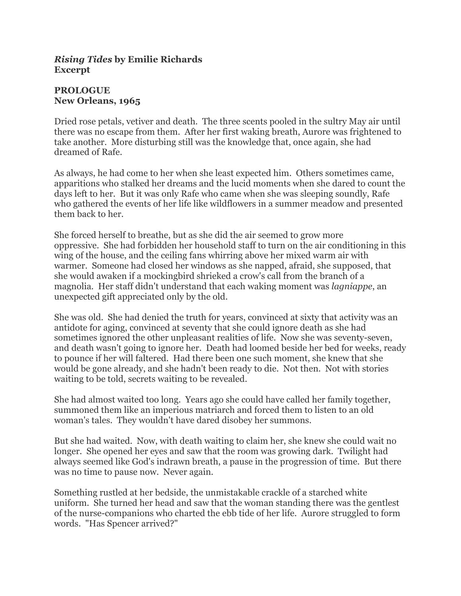## *Rising Tides* **by Emilie Richards Excerpt**

## **PROLOGUE New Orleans, 1965**

Dried rose petals, vetiver and death. The three scents pooled in the sultry May air until there was no escape from them. After her first waking breath, Aurore was frightened to take another. More disturbing still was the knowledge that, once again, she had dreamed of Rafe.

As always, he had come to her when she least expected him. Others sometimes came, apparitions who stalked her dreams and the lucid moments when she dared to count the days left to her. But it was only Rafe who came when she was sleeping soundly, Rafe who gathered the events of her life like wildflowers in a summer meadow and presented them back to her.

She forced herself to breathe, but as she did the air seemed to grow more oppressive. She had forbidden her household staff to turn on the air conditioning in this wing of the house, and the ceiling fans whirring above her mixed warm air with warmer. Someone had closed her windows as she napped, afraid, she supposed, that she would awaken if a mockingbird shrieked a crow's call from the branch of a magnolia. Her staff didn't understand that each waking moment was *lagniappe*, an unexpected gift appreciated only by the old.

She was old. She had denied the truth for years, convinced at sixty that activity was an antidote for aging, convinced at seventy that she could ignore death as she had sometimes ignored the other unpleasant realities of life. Now she was seventy-seven, and death wasn't going to ignore her. Death had loomed beside her bed for weeks, ready to pounce if her will faltered. Had there been one such moment, she knew that she would be gone already, and she hadn't been ready to die. Not then. Not with stories waiting to be told, secrets waiting to be revealed.

She had almost waited too long. Years ago she could have called her family together, summoned them like an imperious matriarch and forced them to listen to an old woman's tales. They wouldn't have dared disobey her summons.

But she had waited. Now, with death waiting to claim her, she knew she could wait no longer. She opened her eyes and saw that the room was growing dark. Twilight had always seemed like God's indrawn breath, a pause in the progression of time. But there was no time to pause now. Never again.

Something rustled at her bedside, the unmistakable crackle of a starched white uniform. She turned her head and saw that the woman standing there was the gentlest of the nurse-companions who charted the ebb tide of her life. Aurore struggled to form words. "Has Spencer arrived?"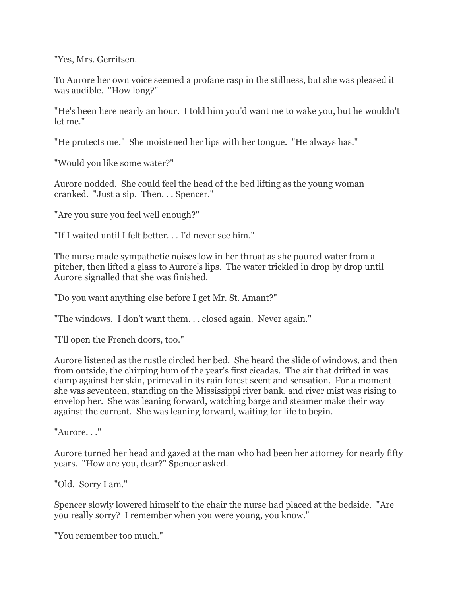"Yes, Mrs. Gerritsen.

To Aurore her own voice seemed a profane rasp in the stillness, but she was pleased it was audible. "How long?"

"He's been here nearly an hour. I told him you'd want me to wake you, but he wouldn't let me."

"He protects me." She moistened her lips with her tongue. "He always has."

"Would you like some water?"

Aurore nodded. She could feel the head of the bed lifting as the young woman cranked. "Just a sip. Then. . . Spencer."

"Are you sure you feel well enough?"

"If I waited until I felt better. . . I'd never see him."

The nurse made sympathetic noises low in her throat as she poured water from a pitcher, then lifted a glass to Aurore's lips. The water trickled in drop by drop until Aurore signalled that she was finished.

"Do you want anything else before I get Mr. St. Amant?"

"The windows. I don't want them. . . closed again. Never again."

"I'll open the French doors, too."

Aurore listened as the rustle circled her bed. She heard the slide of windows, and then from outside, the chirping hum of the year's first cicadas. The air that drifted in was damp against her skin, primeval in its rain forest scent and sensation. For a moment she was seventeen, standing on the Mississippi river bank, and river mist was rising to envelop her. She was leaning forward, watching barge and steamer make their way against the current. She was leaning forward, waiting for life to begin.

"Aurore. . ."

Aurore turned her head and gazed at the man who had been her attorney for nearly fifty years. "How are you, dear?" Spencer asked.

"Old. Sorry I am."

Spencer slowly lowered himself to the chair the nurse had placed at the bedside. "Are you really sorry? I remember when you were young, you know."

"You remember too much."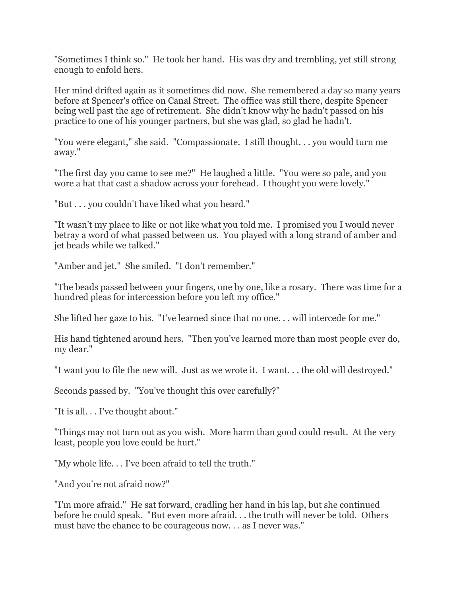"Sometimes I think so." He took her hand. His was dry and trembling, yet still strong enough to enfold hers.

Her mind drifted again as it sometimes did now. She remembered a day so many years before at Spencer's office on Canal Street. The office was still there, despite Spencer being well past the age of retirement. She didn't know why he hadn't passed on his practice to one of his younger partners, but she was glad, so glad he hadn't.

"You were elegant," she said. "Compassionate. I still thought. . . you would turn me away."

"The first day you came to see me?" He laughed a little. "You were so pale, and you wore a hat that cast a shadow across your forehead. I thought you were lovely."

"But . . . you couldn't have liked what you heard."

"It wasn't my place to like or not like what you told me. I promised you I would never betray a word of what passed between us. You played with a long strand of amber and jet beads while we talked."

"Amber and jet." She smiled. "I don't remember."

"The beads passed between your fingers, one by one, like a rosary. There was time for a hundred pleas for intercession before you left my office."

She lifted her gaze to his. "I've learned since that no one. . . will intercede for me."

His hand tightened around hers. "Then you've learned more than most people ever do, my dear."

"I want you to file the new will. Just as we wrote it. I want. . . the old will destroyed."

Seconds passed by. "You've thought this over carefully?"

"It is all. . . I've thought about."

"Things may not turn out as you wish. More harm than good could result. At the very least, people you love could be hurt."

"My whole life. . . I've been afraid to tell the truth."

"And you're not afraid now?"

"I'm more afraid." He sat forward, cradling her hand in his lap, but she continued before he could speak. "But even more afraid. . . the truth will never be told. Others must have the chance to be courageous now. . . as I never was."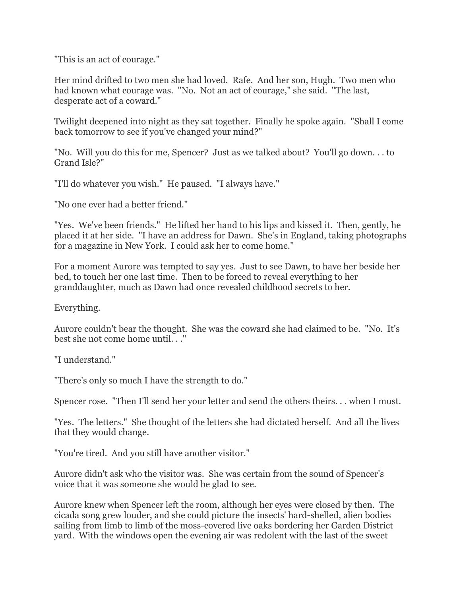"This is an act of courage."

Her mind drifted to two men she had loved. Rafe. And her son, Hugh. Two men who had known what courage was. "No. Not an act of courage," she said. "The last, desperate act of a coward."

Twilight deepened into night as they sat together. Finally he spoke again. "Shall I come back tomorrow to see if you've changed your mind?"

"No. Will you do this for me, Spencer? Just as we talked about? You'll go down. . . to Grand Isle?"

"I'll do whatever you wish." He paused. "I always have."

"No one ever had a better friend."

"Yes. We've been friends." He lifted her hand to his lips and kissed it. Then, gently, he placed it at her side. "I have an address for Dawn. She's in England, taking photographs for a magazine in New York. I could ask her to come home."

For a moment Aurore was tempted to say yes. Just to see Dawn, to have her beside her bed, to touch her one last time. Then to be forced to reveal everything to her granddaughter, much as Dawn had once revealed childhood secrets to her.

Everything.

Aurore couldn't bear the thought. She was the coward she had claimed to be. "No. It's best she not come home until. . ."

"I understand."

"There's only so much I have the strength to do."

Spencer rose. "Then I'll send her your letter and send the others theirs. . . when I must.

"Yes. The letters." She thought of the letters she had dictated herself. And all the lives that they would change.

"You're tired. And you still have another visitor."

Aurore didn't ask who the visitor was. She was certain from the sound of Spencer's voice that it was someone she would be glad to see.

Aurore knew when Spencer left the room, although her eyes were closed by then. The cicada song grew louder, and she could picture the insects' hard-shelled, alien bodies sailing from limb to limb of the moss-covered live oaks bordering her Garden District yard. With the windows open the evening air was redolent with the last of the sweet